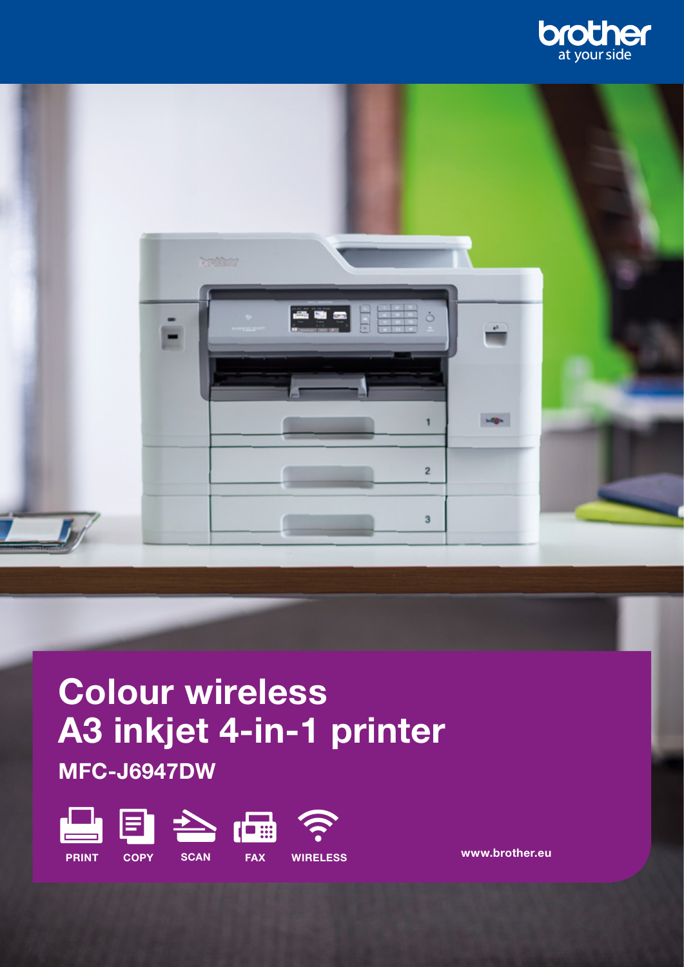



# Colour wireless A3 inkjet 4-in-1 printer MFC-J6947DW



www.brother.eu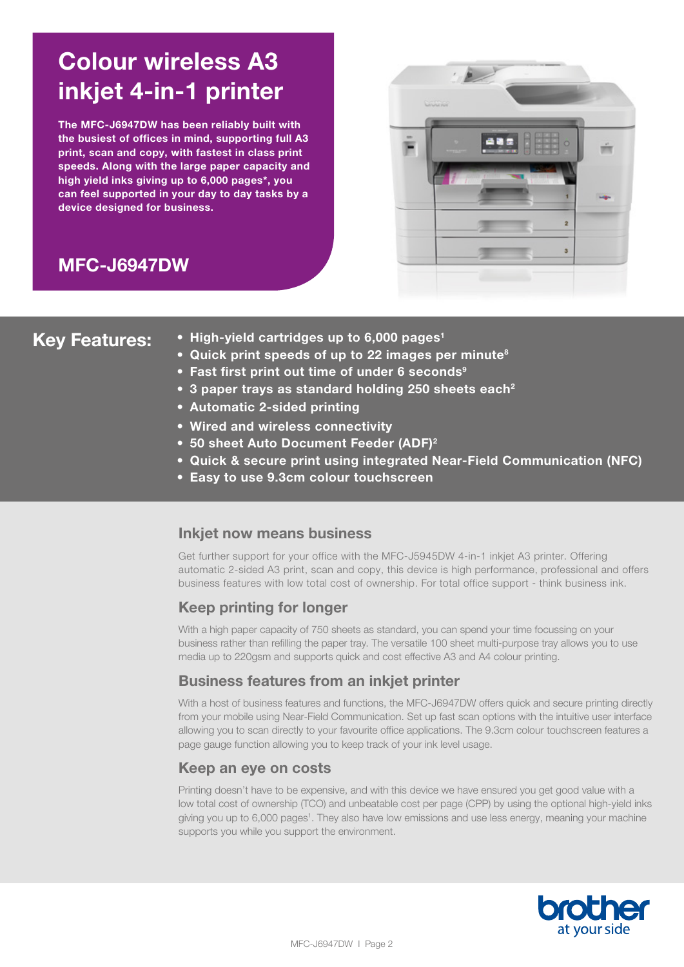# Colour wireless A3 inkjet 4-in-1 printer

The MFC-J6947DW has been reliably built with the busiest of offices in mind, supporting full A3 print, scan and copy, with fastest in class print speeds. Along with the large paper capacity and high yield inks giving up to 6,000 pages\*, you can feel supported in your day to day tasks by a device designed for business.





- Key Features: High-yield cartridges up to 6,000 pages<sup>1</sup>
	- Quick print speeds of up to 22 images per minute<sup>8</sup>
	- Fast first print out time of under 6 seconds<sup>9</sup>
	- 3 paper trays as standard holding 250 sheets each<sup>2</sup>
	- Automatic 2-sided printing
	- Wired and wireless connectivity
	- 50 sheet Auto Document Feeder (ADF)<sup>2</sup>
	- Quick & secure print using integrated Near-Field Communication (NFC)
	- Easy to use 9.3cm colour touchscreen

## Inkjet now means business

Get further support for your office with the MFC-J5945DW 4-in-1 inkjet A3 printer. Offering automatic 2-sided A3 print, scan and copy, this device is high performance, professional and offers business features with low total cost of ownership. For total office support - think business ink.

## Keep printing for longer

With a high paper capacity of 750 sheets as standard, you can spend your time focussing on your business rather than refilling the paper tray. The versatile 100 sheet multi-purpose tray allows you to use media up to 220gsm and supports quick and cost effective A3 and A4 colour printing.

## Business features from an inkjet printer

With a host of business features and functions, the MFC-J6947DW offers quick and secure printing directly from your mobile using Near-Field Communication. Set up fast scan options with the intuitive user interface allowing you to scan directly to your favourite office applications. The 9.3cm colour touchscreen features a page gauge function allowing you to keep track of your ink level usage.

## Keep an eye on costs

Printing doesn't have to be expensive, and with this device we have ensured you get good value with a low total cost of ownership (TCO) and unbeatable cost per page (CPP) by using the optional high-yield inks giving you up to 6,000 pages<sup>1</sup>. They also have low emissions and use less energy, meaning your machine supports you while you support the environment.

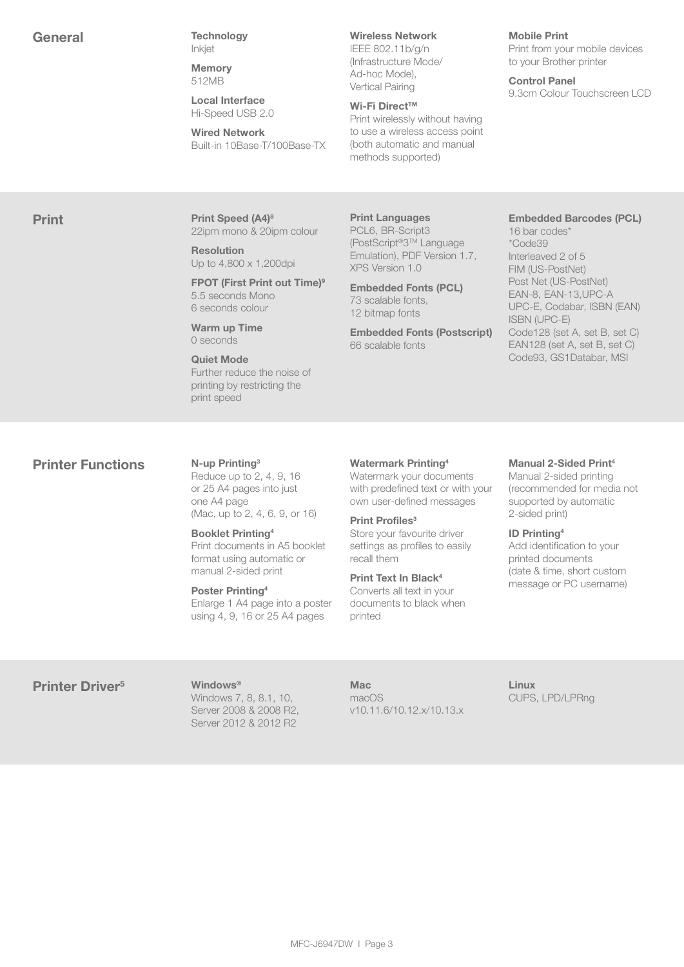General Technology Inkjet

> **Memory** 512MB

Local Interface Hi-Speed USB 2.0

Wired Network Built-in 10Base-T/100Base-TX

## Wireless Network

IEEE 802.11b/g/n (Infrastructure Mode/ Ad-hoc Mode), Vertical Pairing

## Wi-Fi Direct™

Print wirelessly without having to use a wireless access point (both automatic and manual methods supported)

### Mobile Print

Print from your mobile devices to your Brother printer

Control Panel 9.3cm Colour Touchscreen LCD

**Print Print Speed (A4)8** 22ipm mono & 20ipm colour

> Resolution Up to 4,800 x 1,200dpi

FPOT (First Print out Time)<sup>9</sup> 5.5 seconds Mono 6 seconds colour

Warm up Time 0 seconds

Quiet Mode Further reduce the noise of printing by restricting the print speed

Print Languages PCL6, BR-Script3 (PostScript®3TM Language Emulation), PDF Version 1.7, XPS Version 1.0

Embedded Fonts (PCL) 73 scalable fonts, 12 bitmap fonts

Embedded Fonts (Postscript) 66 scalable fonts

## Embedded Barcodes (PCL)

16 bar codes\* \*Code39 Interleaved 2 of 5 FIM (US-PostNet) Post Net (US-PostNet) EAN-8, EAN-13,UPC-A UPC-E, Codabar, ISBN (EAN) ISBN (UPC-E) Code128 (set A, set B, set C) EAN128 (set A, set B, set C) Code93, GS1Databar, MSI

## **Printer Functions** N-up Printing<sup>3</sup>

Reduce up to 2, 4, 9, 16 or 25 A4 pages into just one A4 page (Mac, up to 2, 4, 6, 9, or 16)

Booklet Printing4 Print documents in A5 booklet format using automatic or manual 2-sided print

Poster Printing4 Enlarge 1 A4 page into a poster using 4, 9, 16 or 25 A4 pages

## Watermark Printing4

Watermark your documents with predefined text or with your own user-defined messages

## Print Profiles<sup>3</sup>

Store your favourite driver settings as profiles to easily recall them

#### Print Text In Black4 Converts all text in your documents to black when printed

## Manual 2-Sided Print<sup>4</sup>

Manual 2-sided printing (recommended for media not supported by automatic 2-sided print)

## ID Printing4

Add identification to your printed documents (date & time, short custom message or PC username)

## Printer Driver<sup>5</sup> Windows<sup>®</sup>

Windows 7, 8, 8.1, 10, Server 2008 & 2008 R2, Server 2012 & 2012 R2

## Mac

macOS v10.11.6/10.12.x/10.13.x Linux CUPS, LPD/LPRng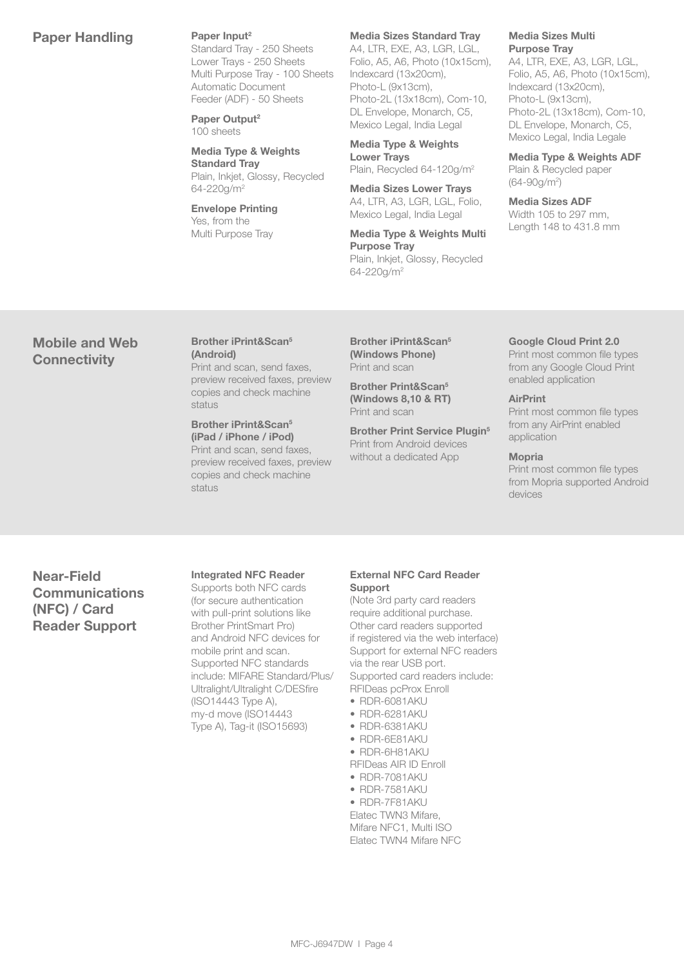## Paper Handling Paper Input<sup>2</sup>

Standard Tray - 250 Sheets Lower Trays - 250 Sheets Multi Purpose Tray - 100 Sheets Automatic Document Feeder (ADF) - 50 Sheets

Paper Output<sup>2</sup> 100 sheets

Media Type & Weights Standard Tray Plain, Inkjet, Glossy, Recycled 64-220g/m2

Envelope Printing Yes, from the Multi Purpose Tray

## Media Sizes Standard Tray

A4, LTR, EXE, A3, LGR, LGL, Folio, A5, A6, Photo (10x15cm), Indexcard (13x20cm), Photo-L (9x13cm), Photo-2L (13x18cm), Com-10, DL Envelope, Monarch, C5, Mexico Legal, India Legal

Media Type & Weights Lower Trays Plain, Recycled 64-120g/m2

Media Sizes Lower Trays A4, LTR, A3, LGR, LGL, Folio, Mexico Legal, India Legal

Media Type & Weights Multi Purpose Tray Plain, Inkjet, Glossy, Recycled 64-220g/m2

#### Media Sizes Multi Purpose Tray

A4, LTR, EXE, A3, LGR, LGL, Folio, A5, A6, Photo (10x15cm), Indexcard (13x20cm), Photo-L (9x13cm), Photo-2L (13x18cm), Com-10, DL Envelope, Monarch, C5, Mexico Legal, India Legale

Media Type & Weights ADF Plain & Recycled paper (64-90g/m2 )

Media Sizes ADF Width 105 to 297 mm, Length 148 to 431.8 mm

## Mobile and Web **Connectivity**

## Brother iPrint&Scan5 (Android) Print and scan, send faxes,

preview received faxes, preview copies and check machine status

Brother iPrint&Scan5 (iPad / iPhone / iPod) Print and scan, send faxes, preview received faxes, preview copies and check machine status

Brother iPrint&Scan5 (Windows Phone) Print and scan

Brother Print&Scan5 (Windows 8,10 & RT) Print and scan

Brother Print Service Plugin<sup>5</sup> Print from Android devices without a dedicated App

## Google Cloud Print 2.0

Print most common file types from any Google Cloud Print enabled application

## **AirPrint**

Print most common file types from any AirPrint enabled application

## Mopria

Print most common file types from Mopria supported Android devices

Near-Field **Communications** (NFC) / Card Reader Support

## Integrated NFC Reader

Supports both NFC cards (for secure authentication with pull-print solutions like Brother PrintSmart Pro) and Android NFC devices for mobile print and scan. Supported NFC standards include: MIFARE Standard/Plus/ Ultralight/Ultralight C/DESfire (ISO14443 Type A), my-d move (ISO14443 Type A), Tag-it (ISO15693)

## External NFC Card Reader Support

(Note 3rd party card readers require additional purchase. Other card readers supported if registered via the web interface) Support for external NFC readers via the rear USB port. Supported card readers include: RFIDeas pcProx Enroll

- RDR-6081AKU
- RDR-6281AKU
- RDR-6381AKU
- RDR-6E81AKU • RDR-6H81AKU
- RFIDeas AIR ID Enroll
- RDR-7081AKU
- RDR-7581AKU
- RDR-7F81AKU
- Elatec TWN3 Mifare, Mifare NFC1, Multi ISO Elatec TWN4 Mifare NFC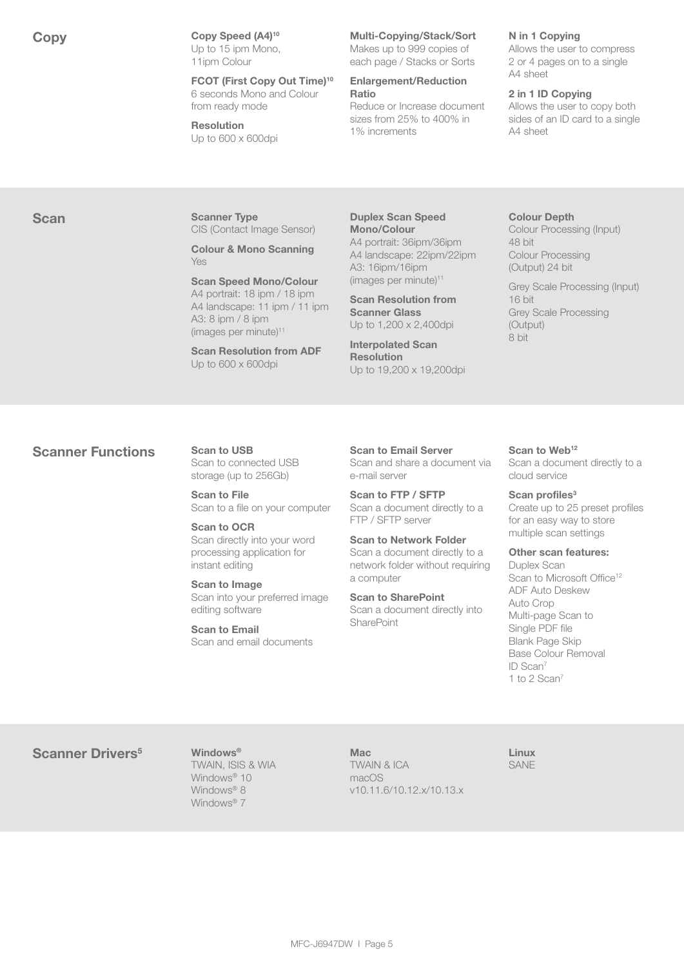Copy Speed (A4)<sup>10</sup> Up to 15 ipm Mono, 11ipm Colour

> FCOT (First Copy Out Time)10 6 seconds Mono and Colour from ready mode

Resolution Up to 600 x 600dpi

## Multi-Copying/Stack/Sort

Makes up to 999 copies of each page / Stacks or Sorts

## Enlargement/Reduction Ratio

Reduce or Increase document sizes from 25% to 400% in 1% increments

## N in 1 Copying

Allows the user to compress 2 or 4 pages on to a single A4 sheet

## 2 in 1 ID Copying

Allows the user to copy both sides of an ID card to a single A4 sheet

Scan Scanner Type CIS (Contact Image Sensor)

> Colour & Mono Scanning Yes

Scan Speed Mono/Colour A4 portrait: 18 ipm / 18 ipm A4 landscape: 11 ipm / 11 ipm A3: 8 ipm / 8 ipm (images per minute)<sup>11</sup>

Scan Resolution from ADF Up to 600 x 600dpi

Duplex Scan Speed Mono/Colour A4 portrait: 36ipm/36ipm A4 landscape: 22ipm/22ipm A3: 16ipm/16ipm (images per minute)<sup>11</sup>

Scan Resolution from Scanner Glass Up to 1,200 x 2,400dpi

Interpolated Scan Resolution Up to 19,200 x 19,200dpi

### Colour Depth

Colour Processing (Input) 48 bit Colour Processing (Output) 24 bit

Grey Scale Processing (Input) 16 bit Grey Scale Processing (Output) 8 bit

## Scanner Functions Scan to USB

Scan to connected USB storage (up to 256Gb)

Scan to File Scan to a file on your computer

Scan to OCR Scan directly into your word processing application for instant editing

Scan to Image Scan into your preferred image editing software

Scan to Email Scan and email documents

Scan to Email Server Scan and share a document via e-mail server

Scan to FTP / SFTP Scan a document directly to a FTP / SFTP server

Scan to Network Folder Scan a document directly to a network folder without requiring a computer

Scan to SharePoint Scan a document directly into **SharePoint** 

Scan to Web<sup>12</sup>

Scan a document directly to a cloud service

## Scan profiles<sup>3</sup>

Create up to 25 preset profiles for an easy way to store multiple scan settings

#### Other scan features:

Duplex Scan Scan to Microsoft Office<sup>12</sup> ADF Auto Deskew Auto Crop Multi-page Scan to Single PDF file Blank Page Skip Base Colour Removal ID Scan7 1 to 2 Scan7

## Scanner Drivers<sup>5</sup> Windows<sup>®</sup>

TWAIN, ISIS & WIA Windows<sup>®</sup> 10 Windows<sup>®</sup> 8 Windows<sup>®</sup> 7

Mac TWAIN & ICA macOS v10.11.6/10.12.x/10.13.x Linux SANE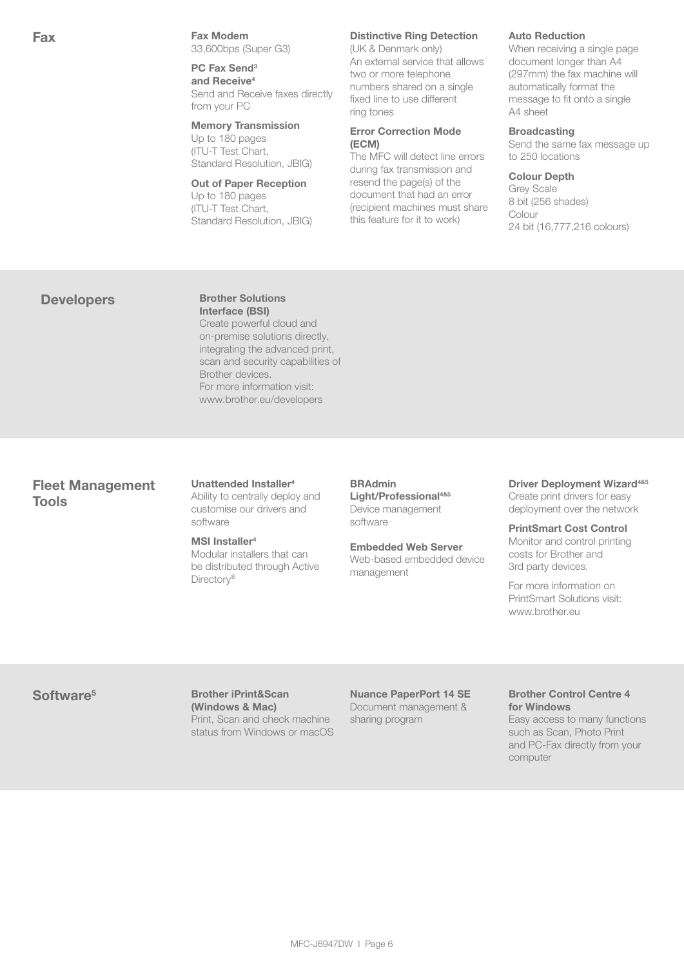Fax **Fax** Fax Modem 33,600bps (Super G3)

> PC Fax Send<sup>3</sup> and Receive<sup>4</sup> Send and Receive faxes directly from your PC

## Memory Transmission

Up to 180 pages (ITU-T Test Chart, Standard Resolution, JBIG)

## Out of Paper Reception

Up to 180 pages (ITU-T Test Chart, Standard Resolution, JBIG)

## Distinctive Ring Detection

(UK & Denmark only) An external service that allows two or more telephone numbers shared on a single fixed line to use different ring tones

## Error Correction Mode (ECM)

The MFC will detect line errors during fax transmission and resend the page(s) of the document that had an error (recipient machines must share this feature for it to work)

## Auto Reduction

When receiving a single page document longer than A4 (297mm) the fax machine will automatically format the message to fit onto a single A4 sheet

## **Broadcasting**

Send the same fax message up to 250 locations

### Colour Depth

Grey Scale 8 bit (256 shades) Colour 24 bit (16,777,216 colours)

## Developers Brother Solutions

Interface (BSI) Create powerful cloud and on-premise solutions directly, integrating the advanced print, scan and security capabilities of Brother devices. For more information visit: www.brother.eu/developers

## Fleet Management Tools

#### Unattended Installer4 Ability to centrally deploy and customise our drivers and software

### MSI Installer<sup>4</sup>

Modular installers that can be distributed through Active Directory<sup>®</sup>

## BRAdmin Light/Professional<sup>4&5</sup>

Device management software

## Embedded Web Server

Web-based embedded device management

### Driver Deployment Wizard<sup>4&5</sup> Create print drivers for easy deployment over the network

PrintSmart Cost Control Monitor and control printing costs for Brother and 3rd party devices.

For more information on PrintSmart Solutions visit: www.brother.eu

Software<sup>5</sup> Brother iPrint&Scan (Windows & Mac) Print, Scan and check machine status from Windows or macOS

Nuance PaperPort 14 SE Document management & sharing program

### Brother Control Centre 4 for Windows

Easy access to many functions such as Scan, Photo Print and PC-Fax directly from your computer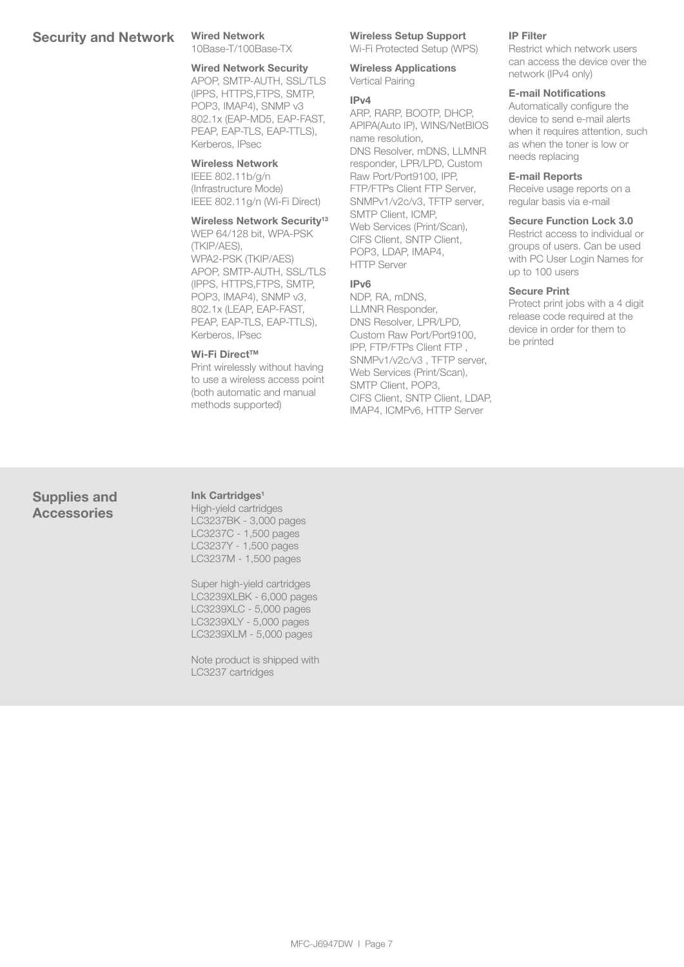## Security and Network Wired Network

10Base-T/100Base-TX

## Wired Network Security

APOP, SMTP-AUTH, SSL/TLS (IPPS, HTTPS,FTPS, SMTP, POP3, IMAP4), SNMP v3 802.1x (EAP-MD5, EAP-FAST, PEAP, EAP-TLS, EAP-TTLS), Kerberos, IPsec

## Wireless Network

IEEE 802.11b/g/n (Infrastructure Mode) IEEE 802.11g/n (Wi-Fi Direct)

## Wireless Network Security<sup>13</sup>

WEP 64/128 bit, WPA-PSK (TKIP/AES), WPA2-PSK (TKIP/AES) APOP, SMTP-AUTH, SSL/TLS (IPPS, HTTPS,FTPS, SMTP, POP3, IMAP4), SNMP v3, 802.1x (LEAP, EAP-FAST, PEAP, EAP-TLS, EAP-TTLS), Kerberos, IPsec

### Wi-Fi Direct™

Print wirelessly without having to use a wireless access point (both automatic and manual methods supported)

## Wireless Setup Support

Wi-Fi Protected Setup (WPS)

Wireless Applications Vertical Pairing

## IPv4

ARP, RARP, BOOTP, DHCP, APIPA(Auto IP), WINS/NetBIOS name resolution, DNS Resolver, mDNS, LLMNR responder, LPR/LPD, Custom Raw Port/Port9100, IPP, FTP/FTPs Client FTP Server, SNMPv1/v2c/v3, TFTP server, SMTP Client, ICMP, Web Services (Print/Scan), CIFS Client, SNTP Client, POP3, LDAP, IMAP4, HTTP Server

## IPv6

NDP, RA, mDNS, LLMNR Responder, DNS Resolver, LPR/LPD, Custom Raw Port/Port9100, IPP, FTP/FTPs Client FTP , SNMPv1/v2c/v3 , TFTP server, Web Services (Print/Scan), SMTP Client, POP3, CIFS Client, SNTP Client, LDAP, IMAP4, ICMPv6, HTTP Server

### IP Filter

Restrict which network users can access the device over the network (IPv4 only)

### E-mail Notifications

Automatically configure the device to send e-mail alerts when it requires attention, such as when the toner is low or needs replacing

## E-mail Reports

Receive usage reports on a regular basis via e-mail

### Secure Function Lock 3.0

Restrict access to individual or groups of users. Can be used with PC User Login Names for up to 100 users

## Secure Print

Protect print jobs with a 4 digit release code required at the device in order for them to be printed

## Supplies and **Accessories**

Ink Cartridges<sup>1</sup> High-yield cartridges LC3237BK - 3,000 pages LC3237C - 1,500 pages LC3237Y - 1,500 pages LC3237M - 1,500 pages

Super high-yield cartridges LC3239XLBK - 6,000 pages LC3239XLC - 5,000 pages LC3239XLY - 5,000 pages LC3239XLM - 5,000 pages

Note product is shipped with LC3237 cartridges